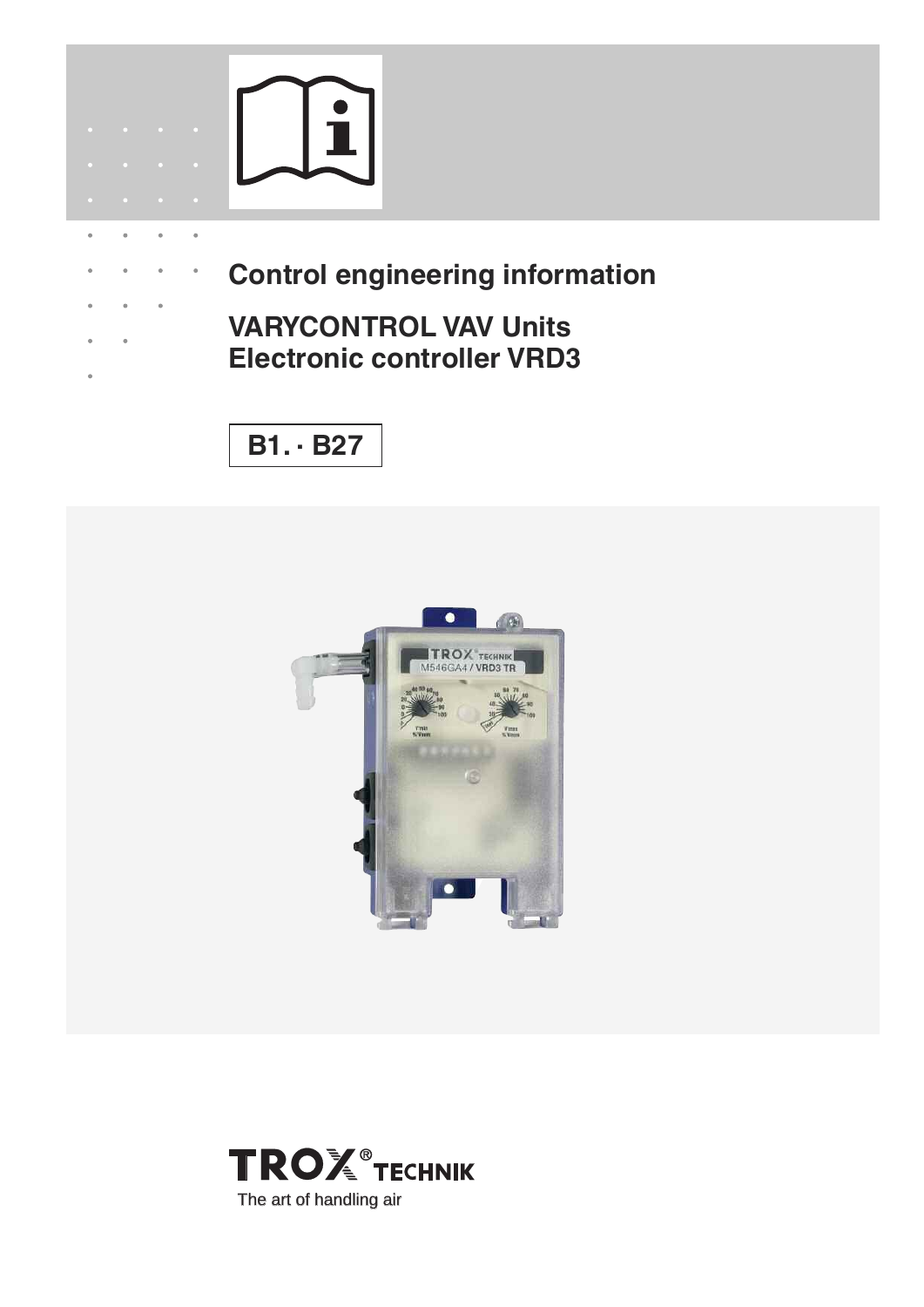

 $\ddot{\phantom{a}}$ 

 $\hat{\mathbf{e}}$ 

 $\ddot{\phantom{a}}$ 

 $\bullet$ 

- **Control engineering information**
- **VARYCONTROL VAV Units Electronic controller VRD3**

**B1. · B27**



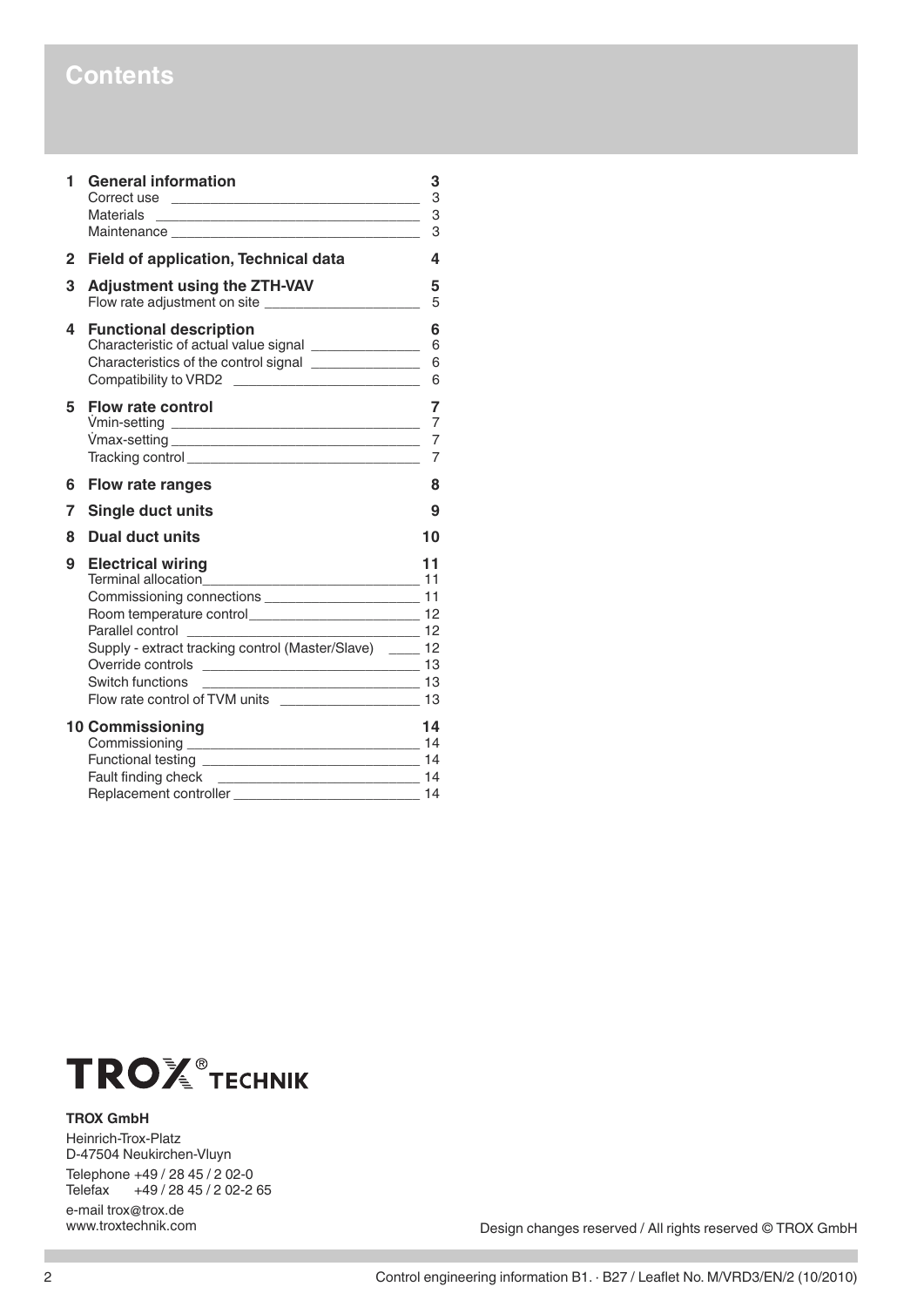### **Contents**

| 1            | <b>General information</b><br>Materials<br>Maintenance Maintenance                                                                          | 3<br>3<br>3<br>3         |
|--------------|---------------------------------------------------------------------------------------------------------------------------------------------|--------------------------|
| $\mathbf{2}$ | Field of application, Technical data                                                                                                        | 4                        |
| 3            | <b>Adjustment using the ZTH-VAV</b><br>Flow rate adjustment on site _________________________                                               | 5<br>5                   |
| 4            | <b>Functional description</b><br>Characteristics of the control signal _______________<br>Compatibility to VRD2 ___________________________ | 6<br>6<br>6              |
| 5            | <b>Flow rate control</b>                                                                                                                    | 7<br>7<br>$\overline{7}$ |
| 6            | Flow rate ranges                                                                                                                            | 8                        |
| 7            | <b>Single duct units</b>                                                                                                                    | 9                        |
| 8            | Dual duct units                                                                                                                             | 10                       |
| 9            | <b>Electrical wiring</b><br>Supply - extract tracking control (Master/Slave) __ 12                                                          | 11<br>$\frac{12}{2}$     |
|              | <b>10 Commissioning</b>                                                                                                                     | 14<br>14                 |



### **TROX GmbH**

Heinrich-Trox-Platz D-47504 Neukirchen-Vluyn Telephone +49 / 28 45 / 2 02-0<br>Telefax +49 / 28 45 / 2 02-2 +49 / 28 45 / 2 02-2 65 e-mail trox@trox.de<br>www.troxtechnik.com

Design changes reserved / All rights reserved © TROX GmbH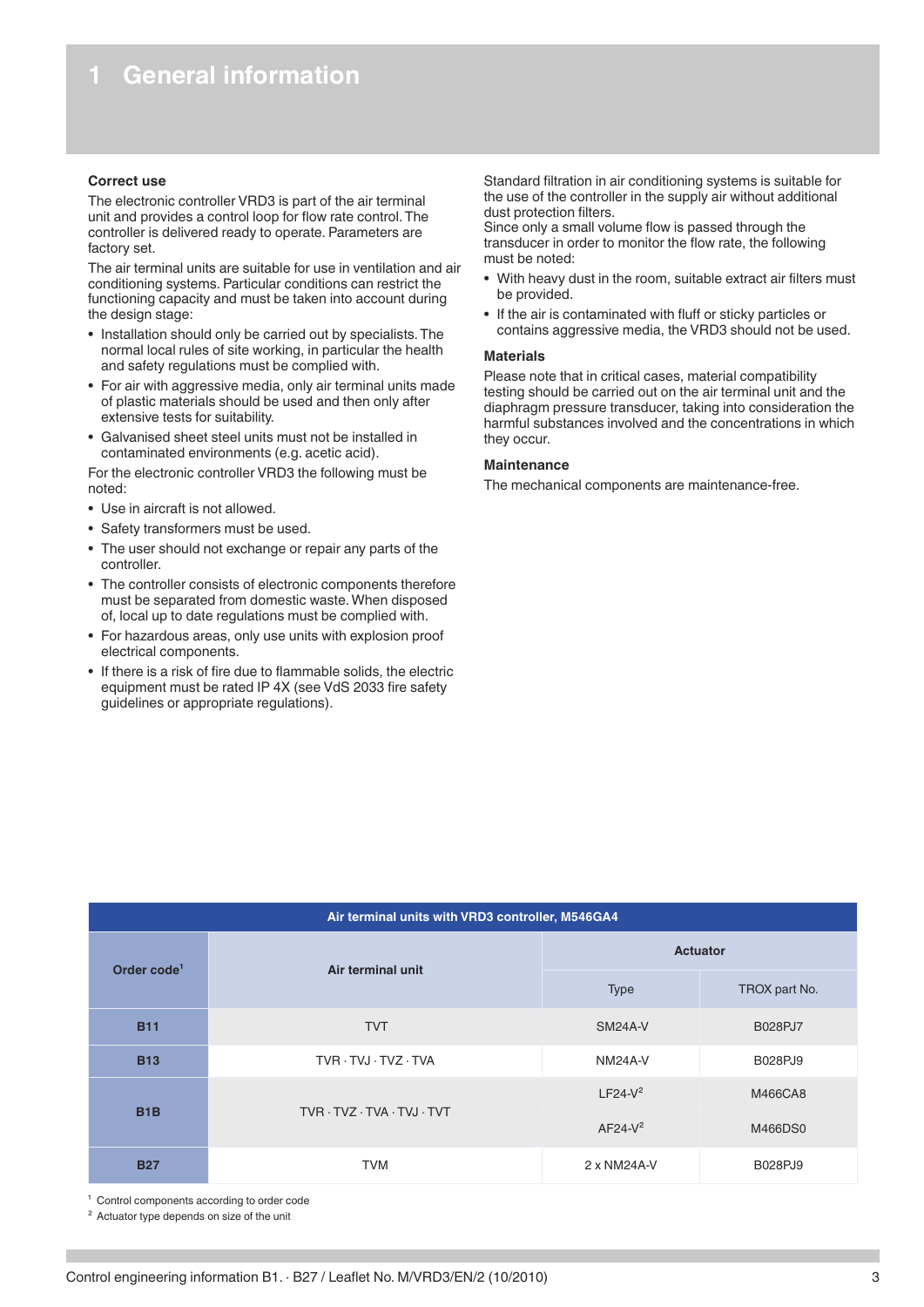### <span id="page-2-0"></span>**Correct use**

The electronic controller VRD3 is part of the air terminal unit and provides a control loop for flow rate control. The controller is delivered ready to operate. Parameters are factory set.

The air terminal units are suitable for use in ventilation and air conditioning systems. Particular conditions can restrict the functioning capacity and must be taken into account during the design stage:

- Installation should only be carried out by specialists. The normal local rules of site working, in particular the health and safety regulations must be complied with.
- For air with aggressive media, only air terminal units made of plastic materials should be used and then only after extensive tests for suitability.
- Galvanised sheet steel units must not be installed in contaminated environments (e.g. acetic acid).

For the electronic controller VRD3 the following must be noted:

- Use in aircraft is not allowed.
- Safety transformers must be used.
- The user should not exchange or repair any parts of the controller.
- The controller consists of electronic components therefore must be separated from domestic waste. When disposed of, local up to date regulations must be complied with.
- For hazardous areas, only use units with explosion proof electrical components.
- If there is a risk of fire due to flammable solids, the electric equipment must be rated IP 4X (see VdS 2033 fire safety guidelines or appropriate regulations).

Standard filtration in air conditioning systems is suitable for the use of the controller in the supply air without additional dust protection filters.

Since only a small volume flow is passed through the transducer in order to monitor the flow rate, the following must be noted:

- With heavy dust in the room, suitable extract air filters must be provided.
- If the air is contaminated with fluff or sticky particles or contains aggressive media, the VRD3 should not be used.

### **Materials**

Please note that in critical cases, material compatibility testing should be carried out on the air terminal unit and the diaphragm pressure transducer, taking into consideration the harmful substances involved and the concentrations in which they occur.

### **Maintenance**

The mechanical components are maintenance-free.

| Air terminal units with VRD3 controller, M546GA4 |                   |                |                 |  |  |
|--------------------------------------------------|-------------------|----------------|-----------------|--|--|
| Order code <sup>1</sup>                          | Air terminal unit |                | <b>Actuator</b> |  |  |
|                                                  |                   | <b>Type</b>    | TROX part No.   |  |  |
| <b>B11</b>                                       | <b>TVT</b>        | SM24A-V        | B028PJ7         |  |  |
| <b>B13</b>                                       | TVR TVJ TVZ TVA   | <b>NM24A-V</b> | B028PJ9         |  |  |
| B <sub>1</sub> B<br>TVR · TVZ · TVA · TVJ · TVT  |                   | $LF24-V2$      | M466CA8         |  |  |
|                                                  |                   | $AF24-V2$      | M466DS0         |  |  |
| <b>B27</b>                                       | <b>TVM</b>        | 2 x NM24A-V    | B028PJ9         |  |  |

<sup>1</sup> Control components according to order code

² Actuator type depends on size of the unit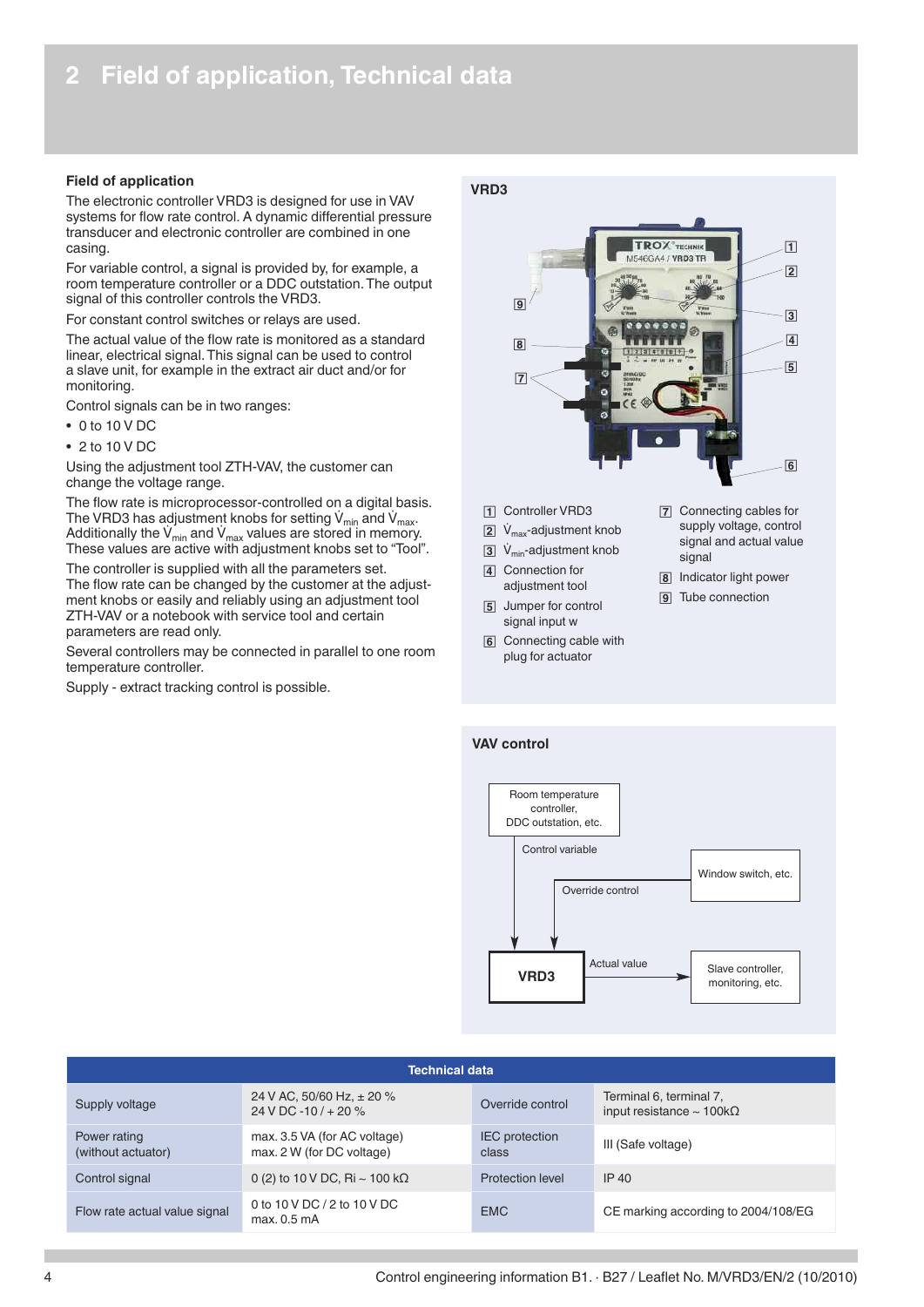### <span id="page-3-0"></span>**Field of application**

The electronic controller VRD3 is designed for use in VAV systems for flow rate control. A dynamic differential pressure transducer and electronic controller are combined in one casing.

For variable control, a signal is provided by, for example, a room temperature controller or a DDC outstation. The output signal of this controller controls the VRD3.

For constant control switches or relays are used.

The actual value of the flow rate is monitored as a standard linear, electrical signal. This signal can be used to control a slave unit, for example in the extract air duct and/or for monitoring.

Control signals can be in two ranges:

- 0 to 10 V DC
- 2 to 10 V DC

Using the adjustment tool ZTH-VAV, the customer can change the voltage range.

The flow rate is microprocessor-controlled on a digital basis. The VRD3 has adjustment knobs for setting  $V_{min}$  and  $V_{max}$ . Additionally the  $V_{min}$  and  $V_{max}$  values are stored in memory. These values are active with adjustment knobs set to "Tool".

The controller is supplied with all the parameters set. The flow rate can be changed by the customer at the adjustment knobs or easily and reliably using an adjustment tool ZTH-VAV or a notebook with service tool and certain parameters are read only.

Several controllers may be connected in parallel to one room temperature controller.

Supply - extract tracking control is possible.





- 11 Controller VRD3
- $\boxed{2}$  V<sub>max</sub>-adjustment knob
- $\overline{3}$  V<sub>min</sub>-adjustment knob
- **4** Connection for
- adjustment tool 5 Jumper for control signal input w
- 6 Connecting cable with plug for actuator
- 7 Connecting cables for supply voltage, control signal and actual value signal
- **8** Indicator light power
- **9** Tube connection





| <b>Technical data</b>                                                   |                                                           |                                |                                                                       |  |  |  |
|-------------------------------------------------------------------------|-----------------------------------------------------------|--------------------------------|-----------------------------------------------------------------------|--|--|--|
| 24 V AC, 50/60 Hz, $\pm$ 20 %<br>Supply voltage<br>24 V DC -10 / + 20 % |                                                           | Override control               | Terminal 6, terminal 7,<br>input resistance $\sim 100 \text{k}\Omega$ |  |  |  |
| Power rating<br>(without actuator)                                      | max. 3.5 VA (for AC voltage)<br>max. 2 W (for DC voltage) | <b>IEC</b> protection<br>class | III (Safe voltage)                                                    |  |  |  |
| Control signal                                                          | 0 (2) to 10 V DC, Ri $\sim$ 100 k $\Omega$                | Protection level               | IP 40                                                                 |  |  |  |
| Flow rate actual value signal                                           | 0 to 10 V DC / 2 to 10 V DC<br>max. 0.5 mA                | <b>EMC</b>                     | CE marking according to 2004/108/EG                                   |  |  |  |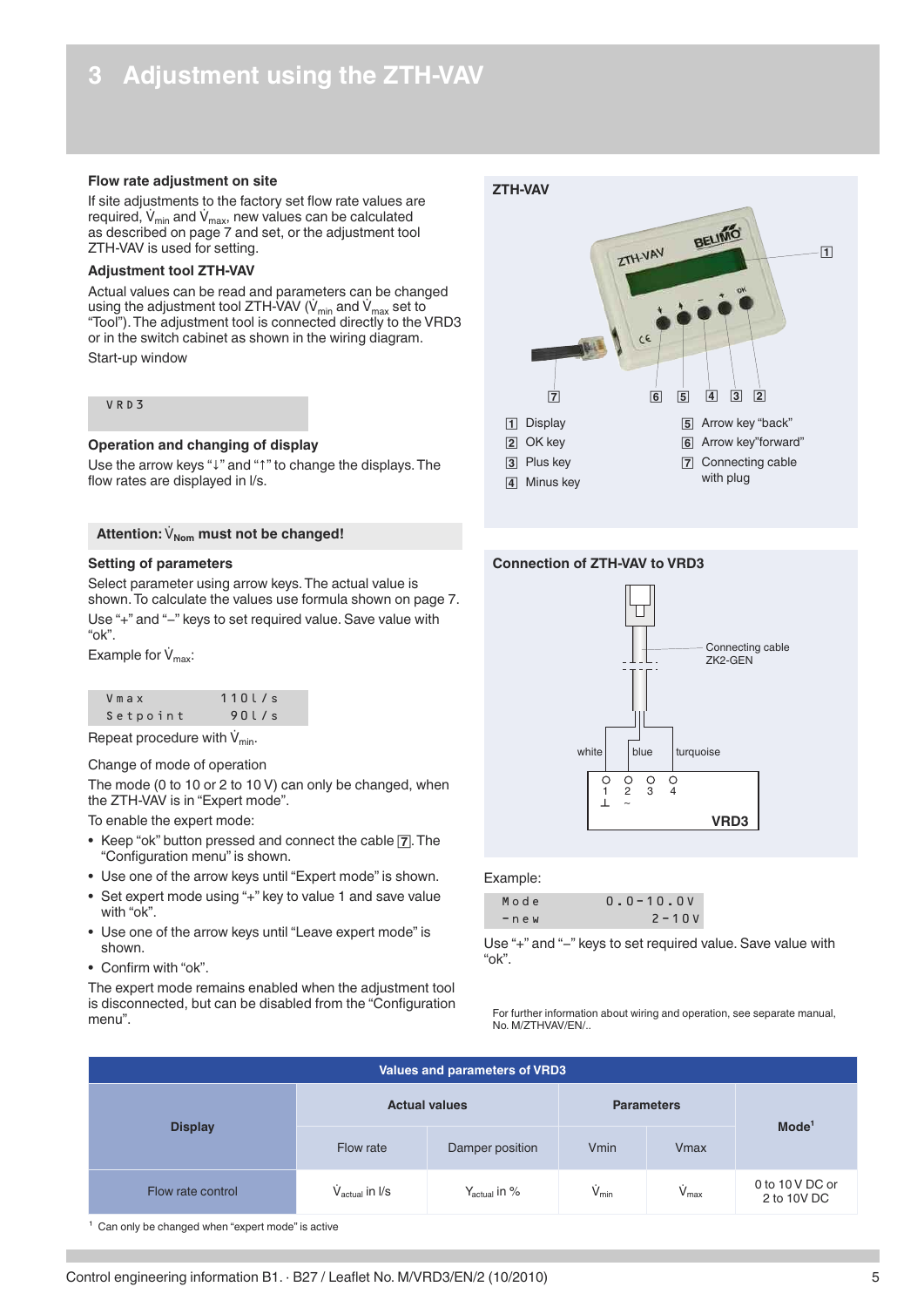# <span id="page-4-0"></span>**3 Adjustment using the ZTH-VAV**

### **Flow rate adjustment on site**

If site adjustments to the factory set flow rate values are required, V $_{\sf min}$  and V $_{\sf max}$ , new values can be calculated as described on page 7 and set, or the adjustment tool ZTH-VAV is used for setting.

### **Adjustment tool ZTH-VAV**

Actual values can be read and parameters can be changed using the adjustment tool ZTH-VAV ( $\dot{V}_{min}$  and  $\dot{V}_{max}$  set to "Tool"). The adjustment tool is connected directly to the VRD3 or in the switch cabinet as shown in the wiring diagram. Start-up window

### VRD 3

### **Operation and changing of display**

Use the arrow keys "↓" and "↑" to change the displays. The flow rates are displayed in l/s.

### Attention:  $\dot{V}_{\text{Nom}}$  must not be changed!

#### **Setting of parameters**

Select parameter using arrow keys. The actual value is shown. To calculate the values use formula shown on page 7. Use "+" and "−" keys to set required value. Save value with "ok".

Example for  $V_{\text{max}}$ :

| Vmax     | 110l/s |
|----------|--------|
| Setpoint | 90l/s  |

Repeat procedure with  $\dot{V}_{min}$ .

#### Change of mode of operation

The mode (0 to 10 or 2 to 10 V) can only be changed, when the ZTH-VAV is in "Expert mode".

To enable the expert mode:

- Keep "ok" button pressed and connect the cable [7]. The "Configuration menu" is shown.
- Use one of the arrow keys until "Expert mode" is shown.
- Set expert mode using "+" key to value 1 and save value with "ok".
- Use one of the arrow keys until "Leave expert mode" is shown.
- Confirm with "ok".

The expert mode remains enabled when the adjustment tool is disconnected, but can be disabled from the "Configuration menu".



### **Connection of ZTH-VAV to VRD3**



### Example:

| Mode        | $0.0 - 10.0V$ |
|-------------|---------------|
| $-$ n e $w$ | $2 - 10V$     |

Use "+" and "−" keys to set required value. Save value with "ok".

For further information about wiring and operation, see separate manual, No. M/ZTHVAV/EN/..

| <b>Values and parameters of VRD3</b> |                                  |                          |                              |                 |                                |  |
|--------------------------------------|----------------------------------|--------------------------|------------------------------|-----------------|--------------------------------|--|
| <b>Display</b>                       | <b>Actual values</b>             | <b>Parameters</b>        | Mode <sup>1</sup>            |                 |                                |  |
|                                      | Flow rate                        | Damper position          | Vmin                         | <b>V</b> max    |                                |  |
| Flow rate control                    | $\dot{V}_{\text{actual}}$ in I/s | $Y_{\text{actual}}$ in % | $\dot{\mathsf{V}}_{\sf min}$ | $\dot{V}_{max}$ | 0 to 10 V DC or<br>2 to 10V DC |  |

 $1$  Can only be changed when "expert mode" is active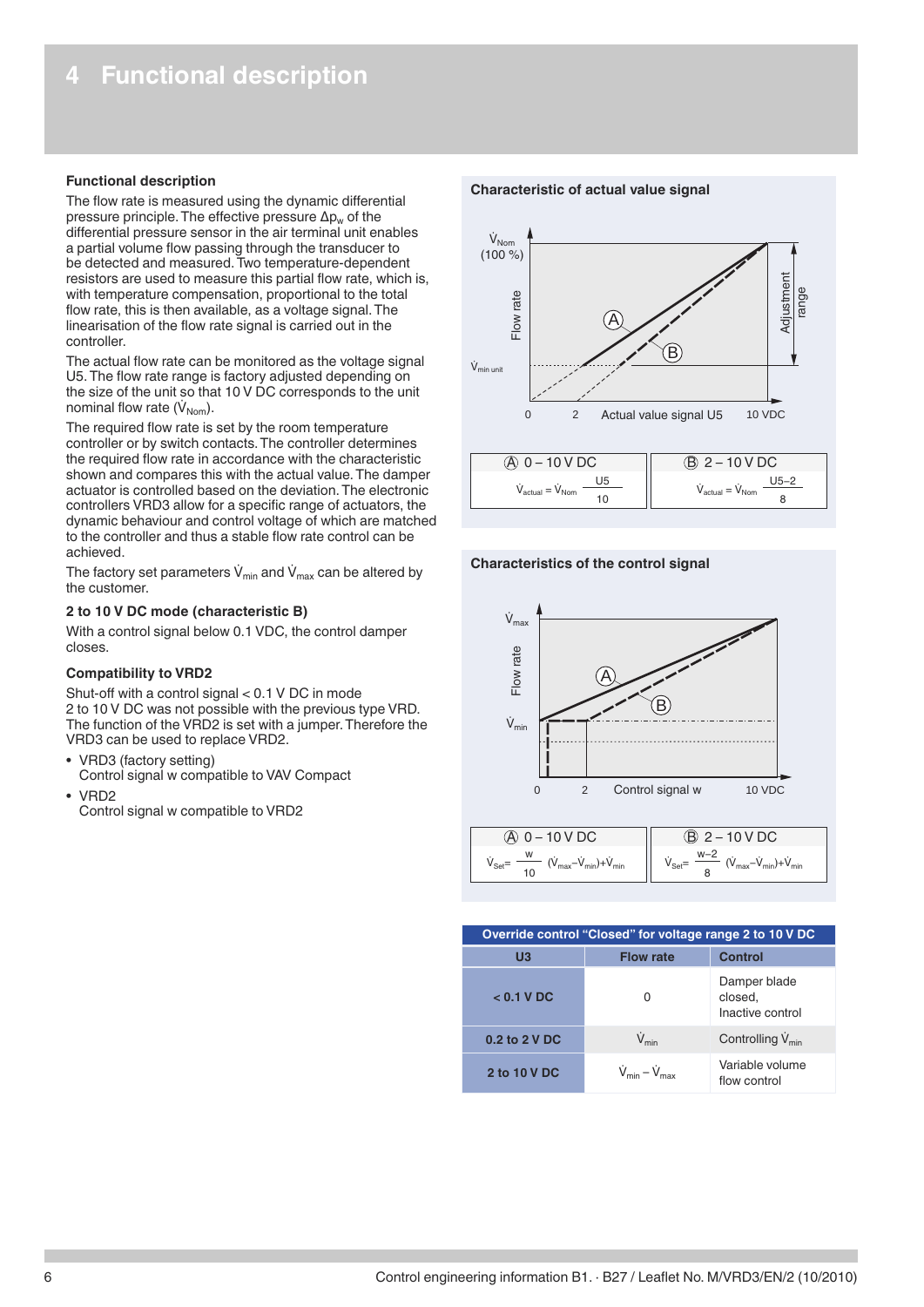### <span id="page-5-0"></span>**Functional description**

The flow rate is measured using the dynamic differential pressure principle. The effective pressure  $\Delta p_w$  of the differential pressure sensor in the air terminal unit enables a partial volume flow passing through the transducer to be detected and measured. Two temperature-dependent resistors are used to measure this partial flow rate, which is, with temperature compensation, proportional to the total flow rate, this is then available, as a voltage signal. The linearisation of the flow rate signal is carried out in the controller.

The actual flow rate can be monitored as the voltage signal U5. The flow rate range is factory adjusted depending on the size of the unit so that 10 V DC corresponds to the unit nominal flow rate  $(\dot{V}_{\text{Nom}})$ .

The required flow rate is set by the room temperature controller or by switch contacts. The controller determines the required flow rate in accordance with the characteristic shown and compares this with the actual value. The damper actuator is controlled based on the deviation. The electronic controllers VRD3 allow for a specific range of actuators, the dynamic behaviour and control voltage of which are matched to the controller and thus a stable flow rate control can be achieved.

The factory set parameters  $\dot{V}_{min}$  and  $\dot{V}_{max}$  can be altered by the customer.

### **2 to 10 V DC mode (characteristic B)**

With a control signal below 0.1 VDC, the control damper closes.

### **Compatibility to VRD2**

Shut-off with a control signal < 0.1 V DC in mode 2 to 10 V DC was not possible with the previous type VRD. The function of the VRD2 is set with a jumper. Therefore the VRD3 can be used to replace VRD2.

- VRD3 (factory setting) Control signal w compatible to VAV Compact
- VRD2
	- Control signal w compatible to VRD2

#### **Characteristic of actual value signal**



**Characteristics of the control signal**



| Override control "Closed" for voltage range 2 to 10 V DC |                                   |                                             |  |  |  |
|----------------------------------------------------------|-----------------------------------|---------------------------------------------|--|--|--|
| U <sub>3</sub>                                           | <b>Flow rate</b>                  | Control                                     |  |  |  |
| $<$ 0.1 V DC                                             | O                                 | Damper blade<br>closed.<br>Inactive control |  |  |  |
| $0.2$ to $2$ V DC                                        | $\dot{V}_{min}$                   | Controlling V <sub>min</sub>                |  |  |  |
| 2 to 10 V DC                                             | $V_{\text{min}} - V_{\text{max}}$ | Variable volume<br>flow control             |  |  |  |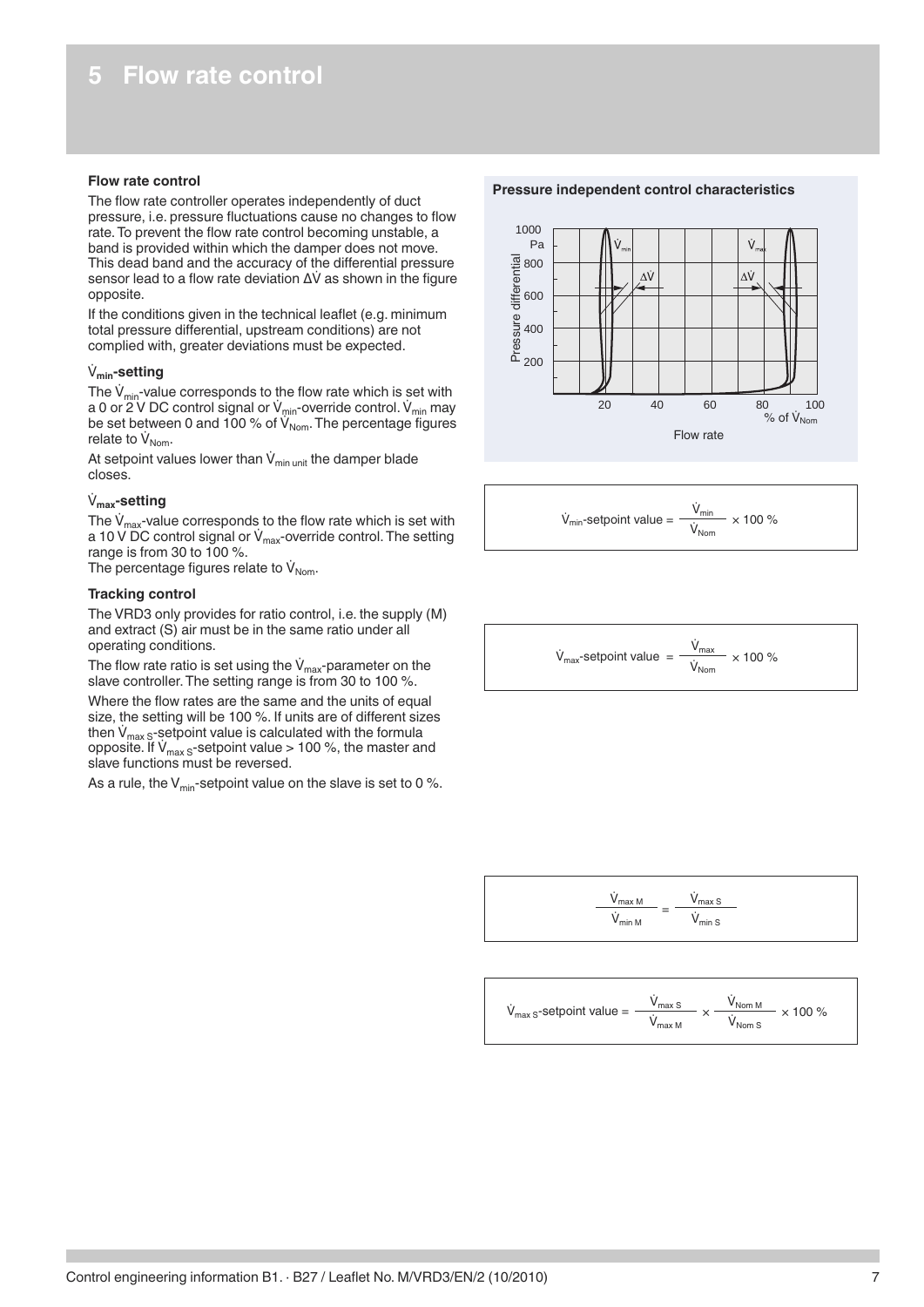### <span id="page-6-0"></span>**Flow rate control**

The flow rate controller operates independently of duct pressure, i.e. pressure fluctuations cause no changes to flow rate. To prevent the flow rate control becoming unstable, a band is provided within which the damper does not move. This dead band and the accuracy of the differential pressure sensor lead to a flow rate deviation ∆V as shown in the figure opposite.

If the conditions given in the technical leaflet (e.g. minimum total pressure differential, upstream conditions) are not complied with, greater deviations must be expected.

### **Vmin-setting**

The  $\dot{V}_{min}$ -value corresponds to the flow rate which is set with a 0 or 2 V DC control signal or V<sub>min</sub>-override control. V<sub>min</sub> may be set between 0 and 100  $\%$  of V $_{\sf Nom}$ . The percentage figures relate to  $V_{\text{Nom}}$ .

At setpoint values lower than  $V_{min \text{ unit}}$  the damper blade closes.

### **Vmax-setting**

The  $\dot{V}_{max}$ -value corresponds to the flow rate which is set with a 10 V DC control signal or  $V_{\text{max}}$ -override control. The setting range is from 30 to 100 %.

The percentage figures relate to  $V_{\text{Nom}}$ .

### **Tracking control**

The VRD3 only provides for ratio control, i.e. the supply (M) and extract (S) air must be in the same ratio under all operating conditions.

The flow rate ratio is set using the  $V_{\text{max}}$ -parameter on the slave controller. The setting range is from 30 to 100 %.

Where the flow rates are the same and the units of equal size, the setting will be 100 %. If units are of different sizes then  $\dot{V}_{max\ S}$ -setpoint value is calculated with the formula opposite. If  $V_{\text{max}}$ <sub>S</sub>-setpoint value > 100 %, the master and slave functions must be reversed.

As a rule, the  $V_{\text{min}}$ -setpoint value on the slave is set to 0 %.

**Pressure independent control characteristics**



$$
\dot{V}_{min}\text{-setpoint value} = \frac{\dot{V}_{min}}{\dot{V}_{Norm}} \times 100\,\%
$$

$$
\dot{V}_{\text{max}}\text{-setpoint value} = \frac{\dot{V}_{\text{max}}}{\dot{V}_{\text{Norm}}} \times 100\,\%
$$



$$
\dot{V}_{\text{max S}}\text{-setpoint value} = \frac{\dot{V}_{\text{max S}}}{\dot{V}_{\text{max M}}} \times \frac{\dot{V}_{\text{Norm M}}}{\dot{V}_{\text{Norm S}}} \times 100\,\%
$$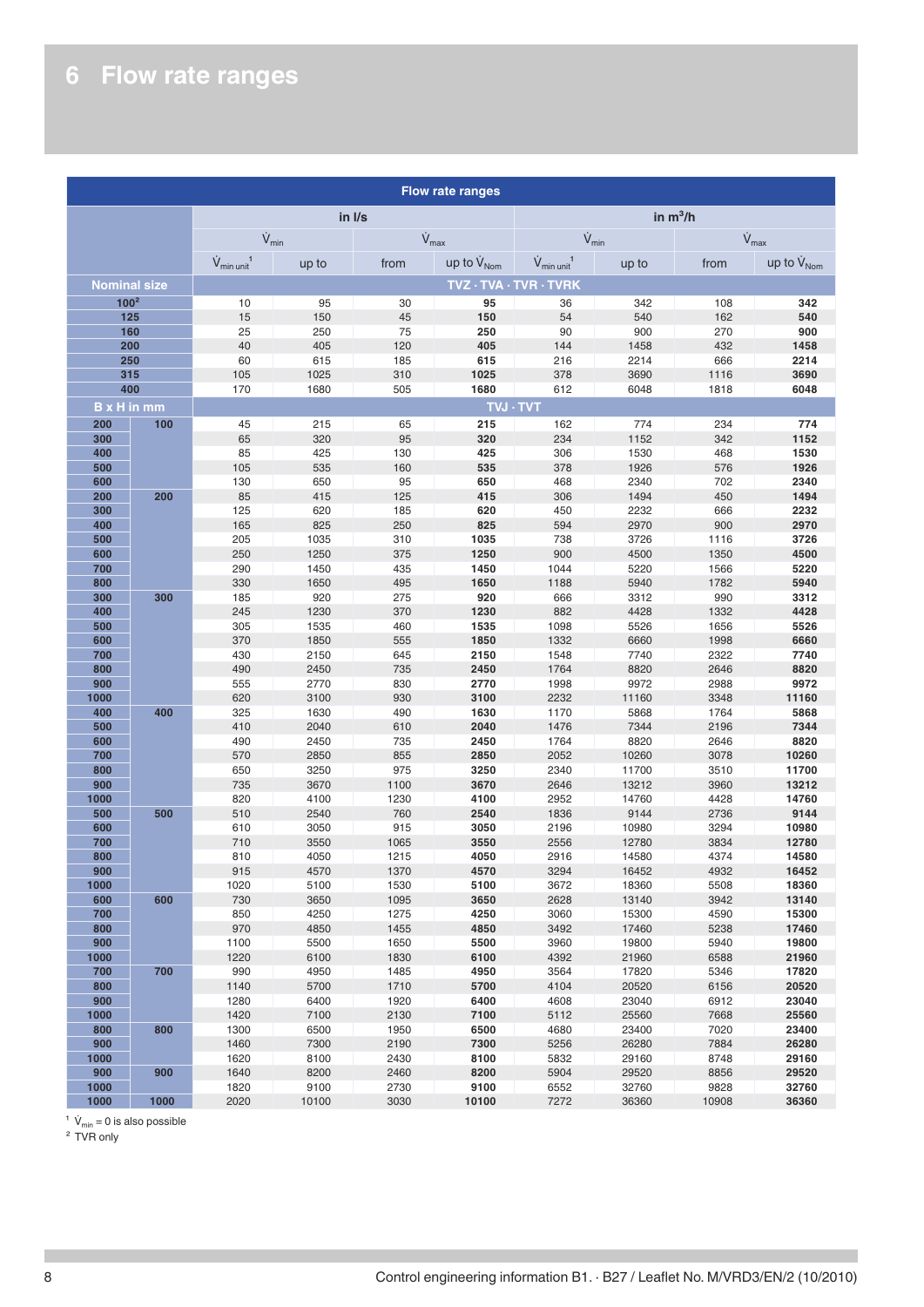# <span id="page-7-0"></span>**6 Flow rate ranges**

| <b>Flow rate ranges</b> |      |                                     |                 |              |                              |                                     |                |              |                               |
|-------------------------|------|-------------------------------------|-----------------|--------------|------------------------------|-------------------------------------|----------------|--------------|-------------------------------|
|                         |      | in I/s                              |                 | in $m^3/h$   |                              |                                     |                |              |                               |
|                         |      |                                     | $\dot{V}_{min}$ |              | $\dot{V}_{\text{max}}$       | $\dot{V}_{min}$                     |                |              | $\dot{V}_{max}$               |
|                         |      | $\dot{V}_{min \ unit}$ <sup>1</sup> | up to           | from         | up to $\dot{V}_{\text{Nom}}$ | $\dot{V}_{min \ unit}$ <sup>1</sup> | up to          | from         | up to $\dot{V}_{\text{Norm}}$ |
| <b>Nominal size</b>     |      |                                     |                 |              |                              | TVZ · TVA · TVR · TVRK              |                |              |                               |
| 100 <sup>2</sup>        |      | 10                                  | 95              | 30           | 95                           | 36                                  | 342            | 108          | 342                           |
|                         | 125  | 15                                  | 150             | 45           | 150                          | 54                                  | 540            | 162          | 540                           |
| 200                     | 160  | 25<br>40                            | 250             | 75           | 250<br>405                   | 90                                  | 900            | 270<br>432   | 900                           |
| 250                     |      | 60                                  | 405<br>615      | 120<br>185   | 615                          | 144<br>216                          | 1458<br>2214   | 666          | 1458<br>2214                  |
| 315                     |      | 105                                 | 1025            | 310          | 1025                         | 378                                 | 3690           | 1116         | 3690                          |
| 400                     |      | 170                                 | 1680            | 505          | 1680                         | 612                                 | 6048           | 1818         | 6048                          |
| <b>B</b> x H in mm      |      |                                     |                 |              |                              | <b>TVJ · TVT</b>                    |                |              |                               |
| 200                     | 100  | 45                                  | 215             | 65           | 215                          | 162                                 | 774            | 234          | 774                           |
| 300                     |      | 65                                  | 320             | 95           | 320                          | 234                                 | 1152           | 342          | 1152                          |
| 400                     |      | 85                                  | 425             | 130          | 425                          | 306                                 | 1530           | 468          | 1530                          |
| 500                     |      | 105                                 | 535             | 160          | 535                          | 378                                 | 1926           | 576          | 1926                          |
| 600                     |      | 130                                 | 650             | 95           | 650                          | 468                                 | 2340           | 702          | 2340                          |
| 200<br>300              | 200  | 85<br>125                           | 415<br>620      | 125<br>185   | 415<br>620                   | 306<br>450                          | 1494<br>2232   | 450<br>666   | 1494<br>2232                  |
| 400                     |      | 165                                 | 825             | 250          | 825                          | 594                                 | 2970           | 900          | 2970                          |
| 500                     |      | 205                                 | 1035            | 310          | 1035                         | 738                                 | 3726           | 1116         | 3726                          |
| 600                     |      | 250                                 | 1250            | 375          | 1250                         | 900                                 | 4500           | 1350         | 4500                          |
| 700                     |      | 290                                 | 1450            | 435          | 1450                         | 1044                                | 5220           | 1566         | 5220                          |
| 800                     |      | 330                                 | 1650            | 495          | 1650                         | 1188                                | 5940           | 1782         | 5940                          |
| 300                     | 300  | 185                                 | 920             | 275          | 920                          | 666                                 | 3312           | 990          | 3312                          |
| 400                     |      | 245                                 | 1230            | 370          | 1230                         | 882                                 | 4428           | 1332         | 4428                          |
| 500                     |      | 305                                 | 1535            | 460          | 1535                         | 1098                                | 5526           | 1656         | 5526                          |
| 600                     |      | 370                                 | 1850            | 555          | 1850                         | 1332                                | 6660           | 1998         | 6660                          |
| 700<br>800              |      | 430<br>490                          | 2150<br>2450    | 645<br>735   | 2150<br>2450                 | 1548<br>1764                        | 7740<br>8820   | 2322<br>2646 | 7740<br>8820                  |
| 900                     |      | 555                                 | 2770            | 830          | 2770                         | 1998                                | 9972           | 2988         | 9972                          |
| 1000                    |      | 620                                 | 3100            | 930          | 3100                         | 2232                                | 11160          | 3348         | 11160                         |
| 400                     | 400  | 325                                 | 1630            | 490          | 1630                         | 1170                                | 5868           | 1764         | 5868                          |
| 500                     |      | 410                                 | 2040            | 610          | 2040                         | 1476                                | 7344           | 2196         | 7344                          |
| 600                     |      | 490                                 | 2450            | 735          | 2450                         | 1764                                | 8820           | 2646         | 8820                          |
| 700                     |      | 570                                 | 2850            | 855          | 2850                         | 2052                                | 10260          | 3078         | 10260                         |
| 800                     |      | 650                                 | 3250            | 975          | 3250                         | 2340                                | 11700          | 3510         | 11700                         |
| 900                     |      | 735                                 | 3670            | 1100         | 3670                         | 2646                                | 13212          | 3960         | 13212                         |
| 1000<br>500             | 500  | 820<br>510                          | 4100<br>2540    | 1230<br>760  | 4100<br>2540                 | 2952<br>1836                        | 14760<br>9144  | 4428<br>2736 | 14760<br>9144                 |
| 600                     |      | 610                                 | 3050            | 915          | 3050                         | 2196                                | 10980          | 3294         | 10980                         |
| 700                     |      | 710                                 | 3550            | 1065         | 3550                         | 2556                                | 12780          | 3834         | 12780                         |
| 800                     |      | 810                                 | 4050            | 1215         | 4050                         | 2916                                | 14580          | 4374         | 14580                         |
| 900                     |      | 915                                 | 4570            | 1370         | 4570                         | 3294                                | 16452          | 4932         | 16452                         |
| 1000                    |      | 1020                                | 5100            | 1530         | 5100                         | 3672                                | 18360          | 5508         | 18360                         |
| 600                     | 600  | 730                                 | 3650            | 1095         | 3650                         | 2628                                | 13140          | 3942         | 13140                         |
| 700                     |      | 850                                 | 4250            | 1275         | 4250                         | 3060                                | 15300          | 4590         | 15300                         |
| 800<br>900              |      | 970<br>1100                         | 4850<br>5500    | 1455<br>1650 | 4850<br>5500                 | 3492<br>3960                        | 17460<br>19800 | 5238<br>5940 | 17460<br>19800                |
| 1000                    |      | 1220                                | 6100            | 1830         | 6100                         | 4392                                | 21960          | 6588         | 21960                         |
| 700                     | 700  | 990                                 | 4950            | 1485         | 4950                         | 3564                                | 17820          | 5346         | 17820                         |
| 800                     |      | 1140                                | 5700            | 1710         | 5700                         | 4104                                | 20520          | 6156         | 20520                         |
| 900                     |      | 1280                                | 6400            | 1920         | 6400                         | 4608                                | 23040          | 6912         | 23040                         |
| 1000                    |      | 1420                                | 7100            | 2130         | 7100                         | 5112                                | 25560          | 7668         | 25560                         |
| 800                     | 800  | 1300                                | 6500            | 1950         | 6500                         | 4680                                | 23400          | 7020         | 23400                         |
| 900                     |      | 1460                                | 7300            | 2190         | 7300                         | 5256                                | 26280          | 7884         | 26280                         |
| 1000                    |      | 1620                                | 8100            | 2430         | 8100                         | 5832                                | 29160          | 8748         | 29160                         |
| 900<br>1000             | 900  | 1640<br>1820                        | 8200<br>9100    | 2460<br>2730 | 8200<br>9100                 | 5904                                | 29520<br>32760 | 8856<br>9828 | 29520<br>32760                |
| 1000                    | 1000 | 2020                                | 10100           | 3030         | 10100                        | 6552<br>7272                        | 36360          | 10908        | 36360                         |
|                         |      |                                     |                 |              |                              |                                     |                |              |                               |

 $V_{\text{min}} = 0$  is also possible

² TVR only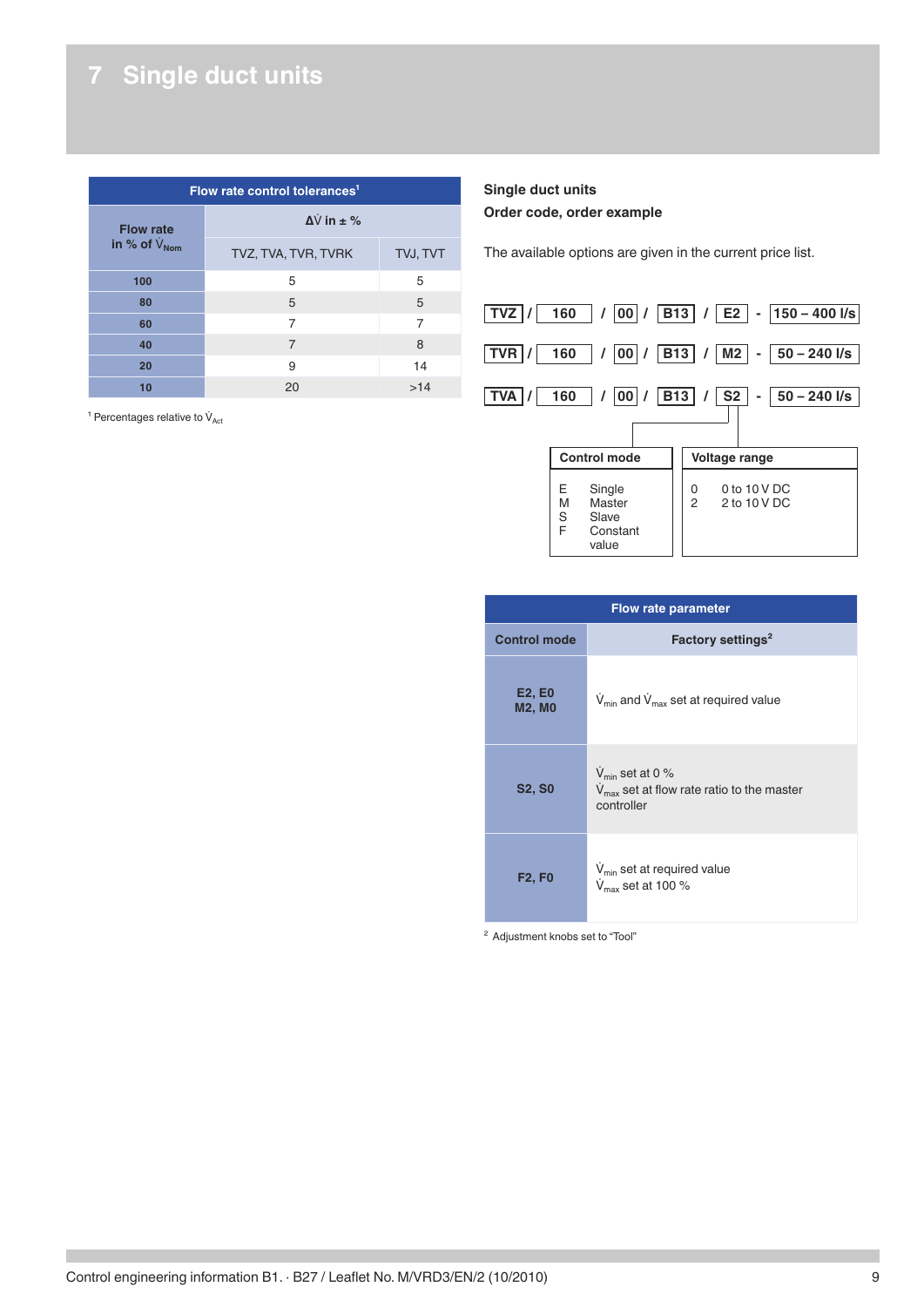# <span id="page-8-0"></span>**7 Single duct units**

| Flow rate control tolerances <sup>1</sup> |                       |          |  |  |
|-------------------------------------------|-----------------------|----------|--|--|
| <b>Flow rate</b>                          | $\Delta V$ in $\pm$ % |          |  |  |
| in % of $V_{\text{Norm}}$                 | TVZ, TVA, TVR, TVRK   | TVJ, TVT |  |  |
| 100                                       | 5                     | 5        |  |  |
| 80                                        | 5                     | 5        |  |  |
| 60                                        | 7                     | 7        |  |  |
| 40                                        | $\overline{7}$        | 8        |  |  |
| 20                                        | 9                     | 14       |  |  |
| 10                                        | 20                    | >14      |  |  |

<sup>1</sup> Percentages relative to  $\dot{V}_{\text{Act}}$ 

### **Single duct units Order code, order example**

The available options are given in the current price list.



|                         | <b>Flow rate parameter</b>                                                                         |  |  |  |
|-------------------------|----------------------------------------------------------------------------------------------------|--|--|--|
| <b>Control mode</b>     | Factory settings <sup>2</sup>                                                                      |  |  |  |
| E2, E0<br><b>M2, M0</b> | $V_{min}$ and $V_{max}$ set at required value                                                      |  |  |  |
| <b>S2, S0</b>           | $V_{\text{min}}$ set at 0 %<br>$V_{\text{max}}$ set at flow rate ratio to the master<br>controller |  |  |  |
| <b>F2, F0</b>           | $V_{\text{min}}$ set at required value<br>$V_{\text{max}}$ set at 100 %                            |  |  |  |

² Adjustment knobs set to "Tool"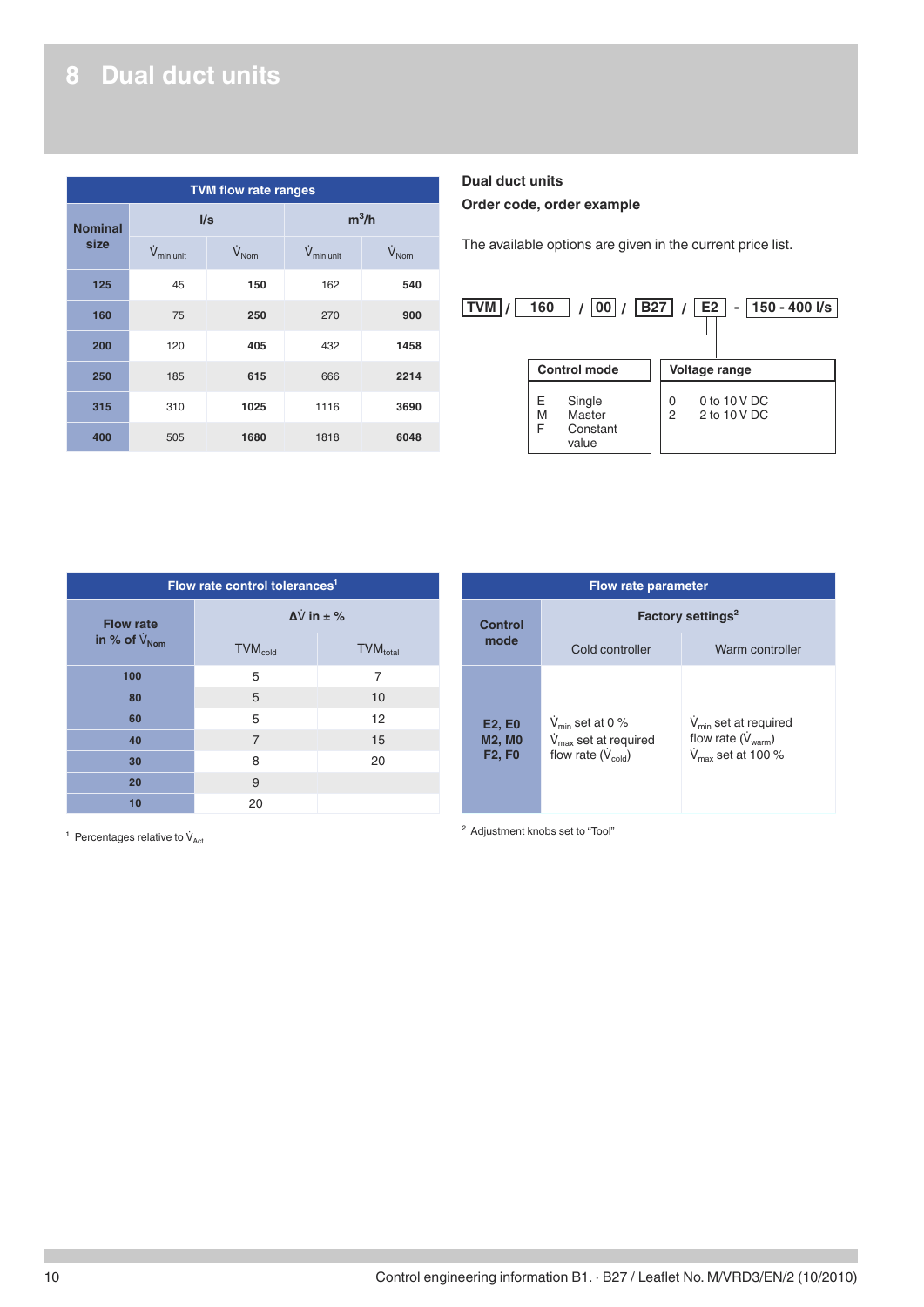# <span id="page-9-0"></span>**8 Dual duct units**

| <b>TVM flow rate ranges</b> |                         |                         |                        |                   |  |
|-----------------------------|-------------------------|-------------------------|------------------------|-------------------|--|
| <b>Nominal</b><br>size      | I/s                     |                         | $m^3/h$                |                   |  |
|                             | $\dot{V}_{min \, unit}$ | $\dot{V}_{\text{Norm}}$ | $V_{min \text{ unit}}$ | $V_{\text{Norm}}$ |  |
| 125                         | 45                      | 150                     | 162                    | 540               |  |
| 160                         | 75                      | 250                     | 270                    | 900               |  |
| 200                         | 120                     | 405                     | 432                    | 1458              |  |
| 250                         | 185                     | 615                     | 666                    | 2214              |  |
| 315                         | 310                     | 1025                    | 1116                   | 3690              |  |
| 400                         | 505                     | 1680                    | 1818                   | 6048              |  |

### **Dual duct units Order code, order example**

The available options are given in the current price list.



| Flow rate control tolerances <sup>1</sup> |                            |                             |  |  |  |
|-------------------------------------------|----------------------------|-----------------------------|--|--|--|
| <b>Flow rate</b>                          |                            | $\Delta V$ in $\pm$ %       |  |  |  |
| in % of $V_{\text{Nom}}$                  | <b>TVM</b> <sub>cold</sub> | <b>TVM</b> <sub>total</sub> |  |  |  |
| 100                                       | 5                          | $\overline{7}$              |  |  |  |
| 80                                        | 5                          | 10                          |  |  |  |
| 60                                        | 5                          | 12                          |  |  |  |
| 40                                        | $\overline{7}$             | 15                          |  |  |  |
| 30                                        | 8                          | 20                          |  |  |  |
| 20                                        | 9                          |                             |  |  |  |
| 10                                        | 20                         |                             |  |  |  |

| <b>Flow rate parameter</b>                      |                                                                                                 |                                                                                                   |
|-------------------------------------------------|-------------------------------------------------------------------------------------------------|---------------------------------------------------------------------------------------------------|
| Control<br>mode                                 | Factory settings <sup>2</sup>                                                                   |                                                                                                   |
|                                                 | Cold controller                                                                                 | Warm controller                                                                                   |
| <b>E2, E0</b><br><b>M2, M0</b><br><b>F2, F0</b> | $V_{\text{min}}$ set at 0 %<br>$V_{\text{max}}$ set at required<br>flow rate $(\dot{V}_{cold})$ | $V_{\text{min}}$ set at required<br>flow rate $(\dot{V}_{warm})$<br>$V_{\text{max}}$ set at 100 % |

 $1$  Percentages relative to  $\dot{V}_{\text{Act}}$ 

² Adjustment knobs set to "Tool"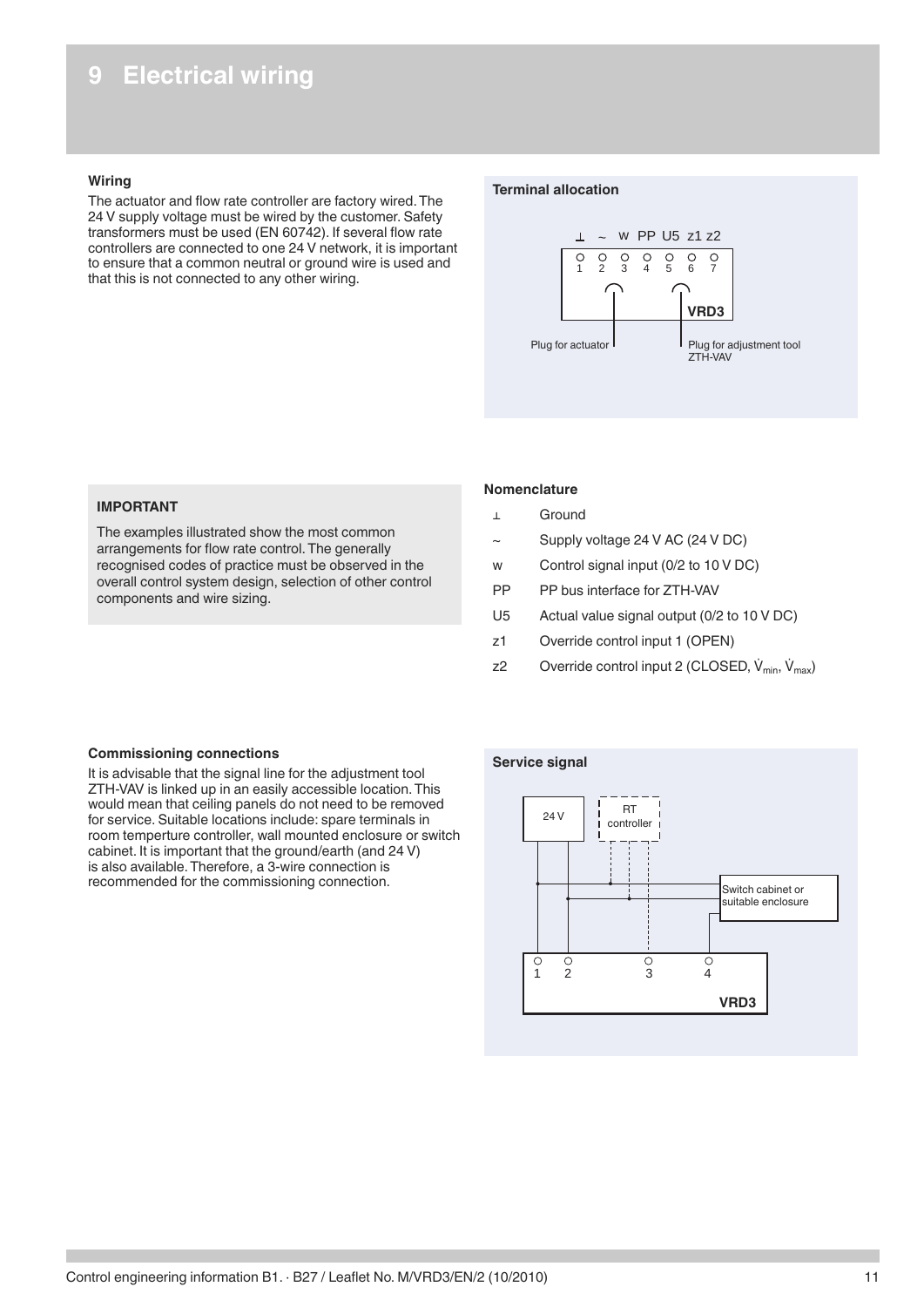# <span id="page-10-0"></span>**9 Electrical wiring**

### **Wiring**

The actuator and flow rate controller are factory wired. The 24 V supply voltage must be wired by the customer. Safety transformers must be used (EN 60742). If several flow rate controllers are connected to one 24 V network, it is important to ensure that a common neutral or ground wire is used and that this is not connected to any other wiring.

### **Terminal allocation**



### **IMPORTANT**

The examples illustrated show the most common arrangements for flow rate control. The generally recognised codes of practice must be observed in the overall control system design, selection of other control components and wire sizing.

### **Nomenclature**

- ⊥ Ground
- Supply voltage 24 V AC (24 V DC)
- w Control signal input (0/2 to 10 V DC)
- PP PP bus interface for ZTH-VAV
- U5 Actual value signal output (0/2 to 10 V DC)
- z1 Override control input 1 (OPEN)
- z2 Override control input 2 (CLOSED,  $\dot{V}_{min}$ ,  $\dot{V}_{max}$ )

### **Commissioning connections**

It is advisable that the signal line for the adjustment tool ZTH-VAV is linked up in an easily accessible location. This would mean that ceiling panels do not need to be removed for service. Suitable locations include: spare terminals in room temperture controller, wall mounted enclosure or switch cabinet. It is important that the ground/earth (and 24 V) is also available. Therefore, a 3-wire connection is recommended for the commissioning connection.

### **Service signal**

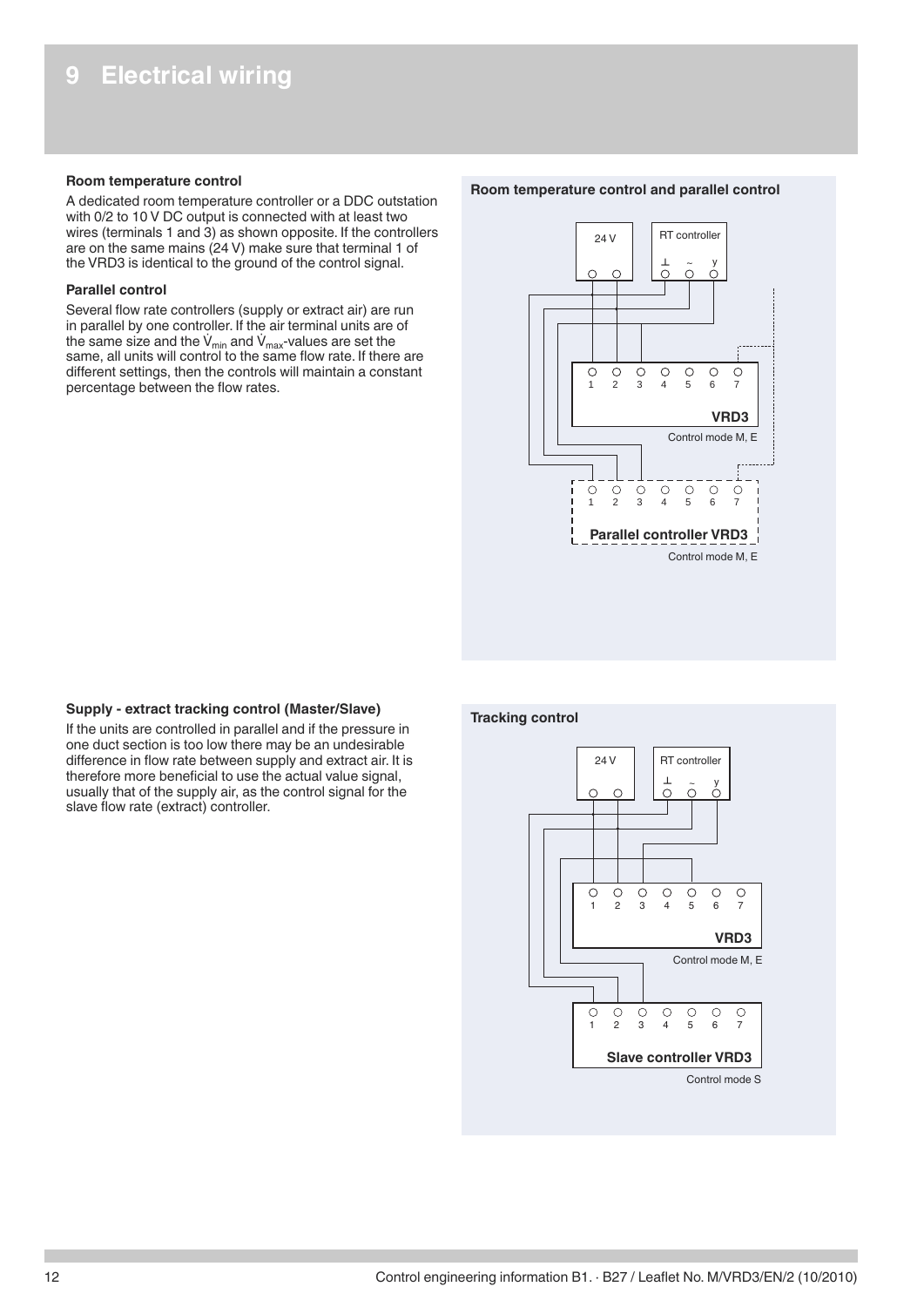### <span id="page-11-0"></span>**Room temperature control**

A dedicated room temperature controller or a DDC outstation with 0/2 to 10 V DC output is connected with at least two wires (terminals 1 and 3) as shown opposite. If the controllers are on the same mains (24 V) make sure that terminal 1 of the VRD3 is identical to the ground of the control signal.

### **Parallel control**

Several flow rate controllers (supply or extract air) are run in parallel by one controller. If the air terminal units are of the same size and the  $V_{min}$  and  $V_{max}$ -values are set the same, all units will control to the same flow rate. If there are different settings, then the controls will maintain a constant percentage between the flow rates.

#### **Room temperature control and parallel control**



### **Supply - extract tracking control (Master/Slave)**

If the units are controlled in parallel and if the pressure in one duct section is too low there may be an undesirable difference in flow rate between supply and extract air. It is therefore more beneficial to use the actual value signal, usually that of the supply air, as the control signal for the slave flow rate (extract) controller.

### **Tracking control**

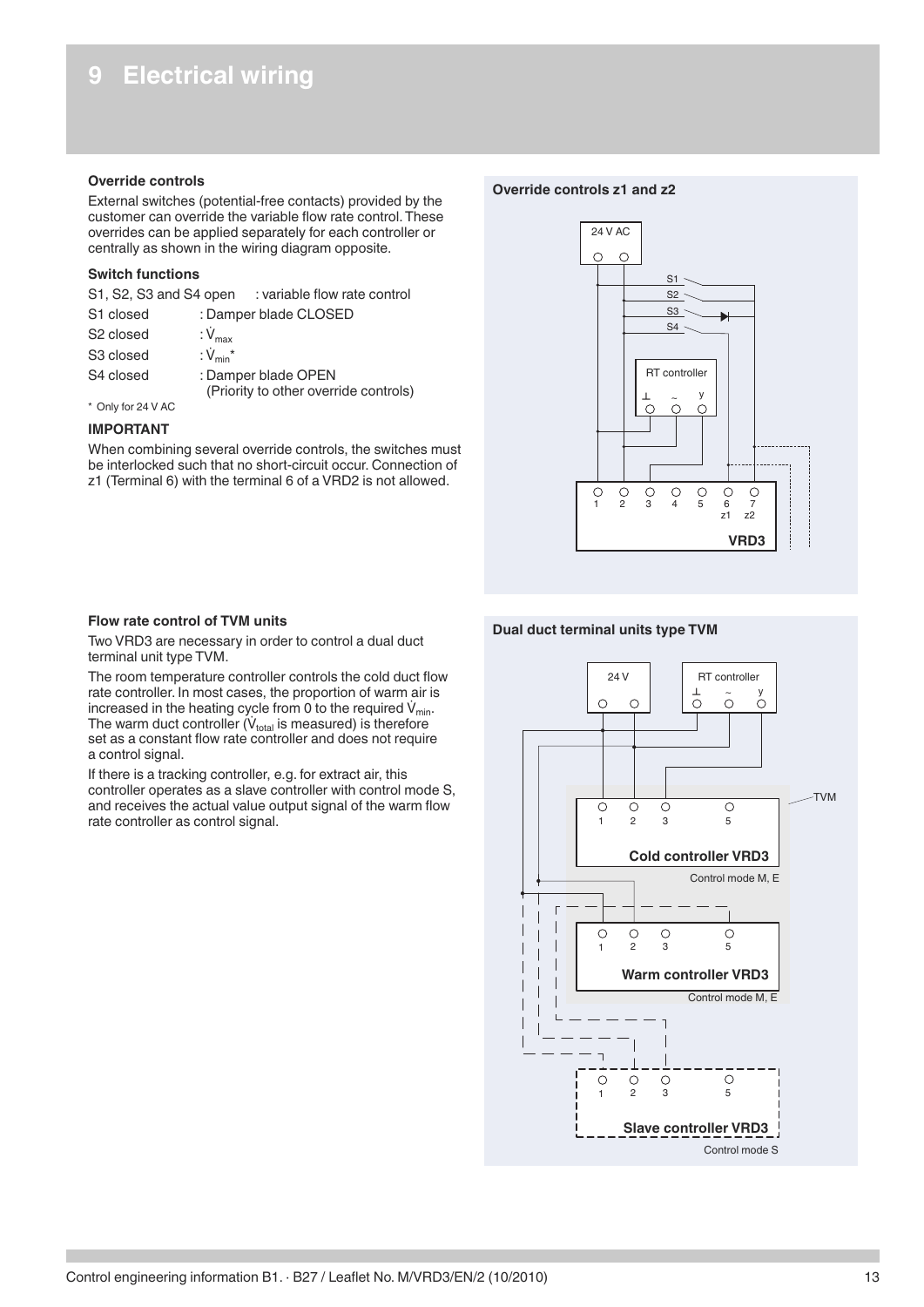### <span id="page-12-0"></span>**Override controls**

External switches (potential-free contacts) provided by the customer can override the variable flow rate control. These overrides can be applied separately for each controller or centrally as shown in the wiring diagram opposite.

### **Switch functions**

| S1, S2, S3 and S4 open | : variable flow rate control |
|------------------------|------------------------------|
|------------------------|------------------------------|

| S1 closed             | : Damper blade CLOSED                                        |
|-----------------------|--------------------------------------------------------------|
| S <sub>2</sub> closed | : $V_{\text{max}}$                                           |
| S <sub>3</sub> closed | : $\dot{V}_{min}$ *                                          |
| S4 closed             | : Damper blade OPEN<br>(Priority to other override controls) |

### \* Only for 24 V AC

### **IMPORTANT**

When combining several override controls, the switches must be interlocked such that no short-circuit occur. Connection of z1 (Terminal 6) with the terminal 6 of a VRD2 is not allowed.

### **Override controls z1 and z2**



### **Dual duct terminal units type TVM**



### **Flow rate control of TVM units**

Two VRD3 are necessary in order to control a dual duct terminal unit type TVM.

The room temperature controller controls the cold duct flow rate controller. In most cases, the proportion of warm air is increased in the heating cycle from 0 to the required  $V_{min}$ . The warm duct controller  $(V_{total}$  is measured) is therefore set as a constant flow rate controller and does not require a control signal.

If there is a tracking controller, e.g. for extract air, this controller operates as a slave controller with control mode S, and receives the actual value output signal of the warm flow rate controller as control signal.